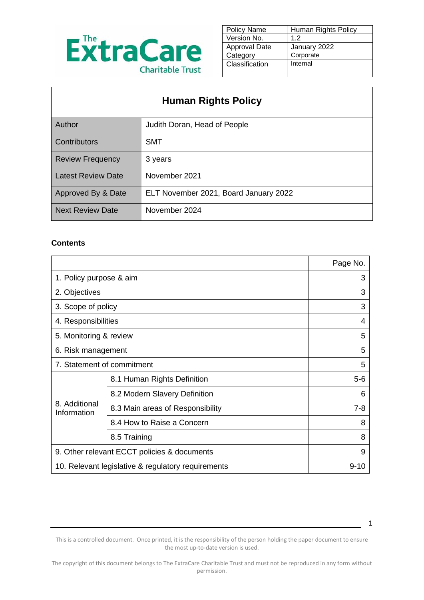

| Policy Name    | Human Rights Policy |
|----------------|---------------------|
| Version No.    | 1.2                 |
| Approval Date  | January 2022        |
| Category       | Corporate           |
| Classification | Internal            |
|                |                     |

# **Human Rights Policy**

| <b>Author</b>             | Judith Doran, Head of People          |
|---------------------------|---------------------------------------|
| <b>Contributors</b>       | <b>SMT</b>                            |
| <b>Review Frequency</b>   | 3 years                               |
| <b>Latest Review Date</b> | November 2021                         |
| Approved By & Date        | ELT November 2021, Board January 2022 |
| Next Review Date          | November 2024                         |

#### **Contents**

|                                                    |                                  | Page No. |
|----------------------------------------------------|----------------------------------|----------|
| 1. Policy purpose & aim                            |                                  | 3        |
| 2. Objectives                                      |                                  | 3        |
| 3. Scope of policy                                 |                                  | 3        |
| 4. Responsibilities                                |                                  | 4        |
| 5. Monitoring & review                             |                                  | 5        |
| 6. Risk management                                 |                                  | 5        |
| 7. Statement of commitment                         |                                  | 5        |
| 8.1 Human Rights Definition                        |                                  | 5-6      |
| 8.2 Modern Slavery Definition                      |                                  | 6        |
| 8. Additional<br>Information                       | 8.3 Main areas of Responsibility | 7-8      |
|                                                    | 8.4 How to Raise a Concern       | 8        |
|                                                    | 8.5 Training                     | 8        |
| 9. Other relevant ECCT policies & documents        |                                  | 9        |
| 10. Relevant legislative & regulatory requirements |                                  | 9-10     |

This is a controlled document. Once printed, it is the responsibility of the person holding the paper document to ensure the most up-to-date version is used.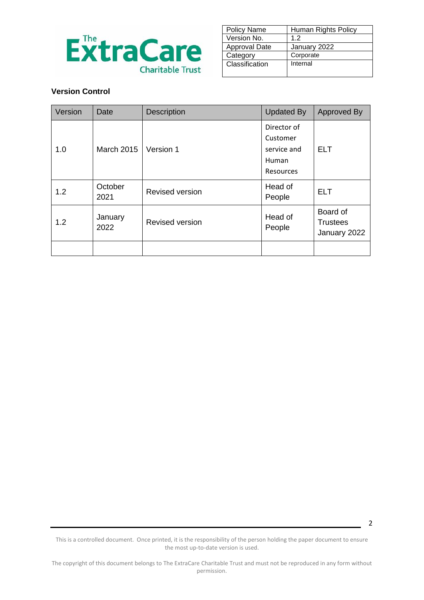

| Policy Name    | Human Rights Policy |
|----------------|---------------------|
| Version No.    | 1.2                 |
| Approval Date  | January 2022        |
| Category       | Corporate           |
| Classification | Internal            |
|                |                     |

### **Version Control**

| Version | Date              | <b>Description</b>     | <b>Updated By</b>                                                   | Approved By                                 |
|---------|-------------------|------------------------|---------------------------------------------------------------------|---------------------------------------------|
| 1.0     | <b>March 2015</b> | Version 1              | Director of<br>Customer<br>service and<br>Human<br><b>Resources</b> | <b>ELT</b>                                  |
| 1.2     | October<br>2021   | <b>Revised version</b> | Head of<br>People                                                   | <b>ELT</b>                                  |
| 1.2     | January<br>2022   | <b>Revised version</b> | Head of<br>People                                                   | Board of<br><b>Trustees</b><br>January 2022 |
|         |                   |                        |                                                                     |                                             |

This is a controlled document. Once printed, it is the responsibility of the person holding the paper document to ensure the most up-to-date version is used.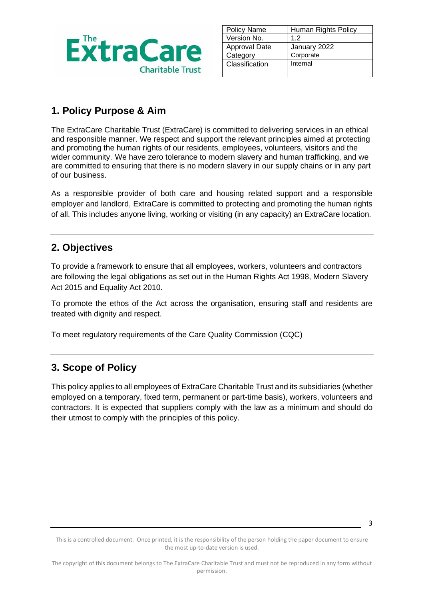

| <b>Policy Name</b> | Human Rights Policy |
|--------------------|---------------------|
| Version No.        | 1.2                 |
| Approval Date      | January 2022        |
| Category           | Corporate           |
| Classification     | Internal            |
|                    |                     |

## **1. Policy Purpose & Aim**

The ExtraCare Charitable Trust (ExtraCare) is committed to delivering services in an ethical and responsible manner. We respect and support the relevant principles aimed at protecting and promoting the human rights of our residents, employees, volunteers, visitors and the wider community. We have zero tolerance to modern slavery and human trafficking, and we are committed to ensuring that there is no modern slavery in our supply chains or in any part of our business.

As a responsible provider of both care and housing related support and a responsible employer and landlord, ExtraCare is committed to protecting and promoting the human rights of all. This includes anyone living, working or visiting (in any capacity) an ExtraCare location.

## **2. Objectives**

To provide a framework to ensure that all employees, workers, volunteers and contractors are following the legal obligations as set out in the Human Rights Act 1998, Modern Slavery Act 2015 and Equality Act 2010.

To promote the ethos of the Act across the organisation, ensuring staff and residents are treated with dignity and respect.

To meet regulatory requirements of the Care Quality Commission (CQC)

## **3. Scope of Policy**

This policy applies to all employees of ExtraCare Charitable Trust and its subsidiaries (whether employed on a temporary, fixed term, permanent or part-time basis), workers, volunteers and contractors. It is expected that suppliers comply with the law as a minimum and should do their utmost to comply with the principles of this policy.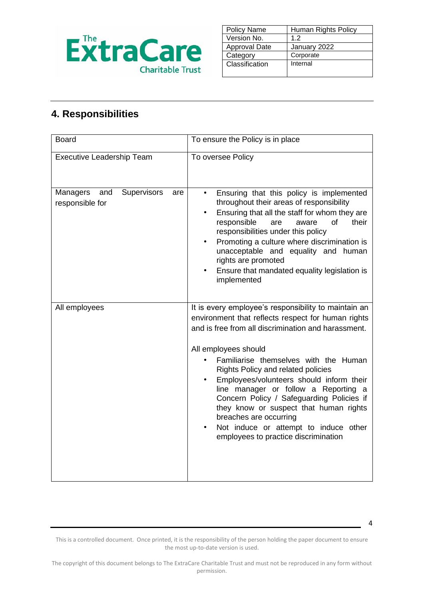

| <b>Policy Name</b>   | Human Rights Policy |
|----------------------|---------------------|
| Version No.          | 1.2                 |
| <b>Approval Date</b> | January 2022        |
| Category             | Corporate           |
| Classification       | Internal            |
|                      |                     |

# **4. Responsibilities**

| <b>Board</b>                                             | To ensure the Policy is in place                                                                                                                                                                                                                                                                                                                                                                                                                                                                                                                               |
|----------------------------------------------------------|----------------------------------------------------------------------------------------------------------------------------------------------------------------------------------------------------------------------------------------------------------------------------------------------------------------------------------------------------------------------------------------------------------------------------------------------------------------------------------------------------------------------------------------------------------------|
| <b>Executive Leadership Team</b>                         | To oversee Policy                                                                                                                                                                                                                                                                                                                                                                                                                                                                                                                                              |
| Supervisors<br>Managers<br>and<br>are<br>responsible for | Ensuring that this policy is implemented<br>throughout their areas of responsibility<br>Ensuring that all the staff for whom they are<br>responsible<br>of<br>their<br>are<br>aware<br>responsibilities under this policy<br>Promoting a culture where discrimination is<br>unacceptable and equality and human<br>rights are promoted<br>Ensure that mandated equality legislation is<br>implemented                                                                                                                                                          |
| All employees                                            | It is every employee's responsibility to maintain an<br>environment that reflects respect for human rights<br>and is free from all discrimination and harassment.<br>All employees should<br>Familiarise themselves with the Human<br>Rights Policy and related policies<br>Employees/volunteers should inform their<br>line manager or follow a Reporting a<br>Concern Policy / Safeguarding Policies if<br>they know or suspect that human rights<br>breaches are occurring<br>Not induce or attempt to induce other<br>employees to practice discrimination |

This is a controlled document. Once printed, it is the responsibility of the person holding the paper document to ensure the most up-to-date version is used.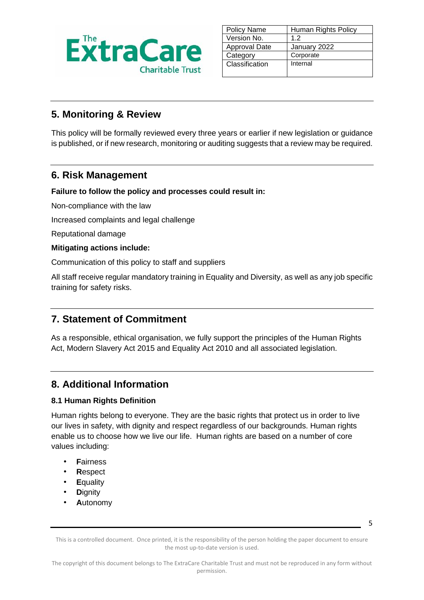

| <b>Policy Name</b>   | Human Rights Policy |
|----------------------|---------------------|
| Version No.          | 1.2                 |
| <b>Approval Date</b> | January 2022        |
| Category             | Corporate           |
| Classification       | Internal            |
|                      |                     |

### **5. Monitoring & Review**

This policy will be formally reviewed every three years or earlier if new legislation or guidance is published, or if new research, monitoring or auditing suggests that a review may be required.

### **6. Risk Management**

**Failure to follow the policy and processes could result in:**

Non-compliance with the law

Increased complaints and legal challenge

Reputational damage

#### **Mitigating actions include:**

Communication of this policy to staff and suppliers

All staff receive regular mandatory training in Equality and Diversity, as well as any job specific training for safety risks.

## **7. Statement of Commitment**

As a responsible, ethical organisation, we fully support the principles of the Human Rights Act, Modern Slavery Act 2015 and Equality Act 2010 and all associated legislation.

## **8. Additional Information**

### **8.1 Human Rights Definition**

Human rights belong to everyone. They are the basic rights that protect us in order to live our lives in safety, with dignity and respect regardless of our backgrounds. Human rights enable us to choose how we live our life. Human rights are based on a number of core values including:

- **F**airness
- **R**espect
- **E**quality
- **D**ignity
- **A**utonomy

5

This is a controlled document. Once printed, it is the responsibility of the person holding the paper document to ensure the most up-to-date version is used.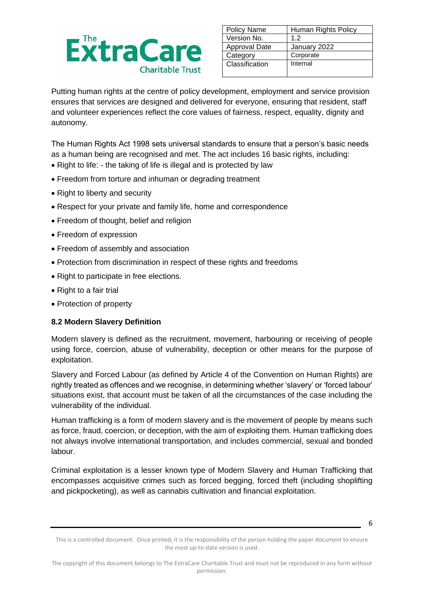

| <b>Policy Name</b>   | Human Rights Policy |
|----------------------|---------------------|
| Version No.          | 1.2                 |
| <b>Approval Date</b> | January 2022        |
| Category             | Corporate           |
| Classification       | Internal            |
|                      |                     |

Putting human rights at the centre of policy development, employment and service provision ensures that services are designed and delivered for everyone, ensuring that resident, staff and volunteer experiences reflect the core values of fairness, respect, equality, dignity and autonomy.

The Human Rights Act 1998 sets universal standards to ensure that a person's basic needs as a human being are recognised and met. The act includes 16 basic rights, including:

- Right to life: the taking of life is illegal and is protected by law
- Freedom from torture and inhuman or degrading treatment
- Right to liberty and security
- Respect for your private and family life, home and correspondence
- Freedom of thought, belief and religion
- Freedom of expression
- Freedom of assembly and association
- Protection from discrimination in respect of these rights and freedoms
- Right to participate in free elections.
- Right to a fair trial
- Protection of property

#### **8.2 Modern Slavery Definition**

Modern slavery is defined as the recruitment, movement, harbouring or receiving of people using force, coercion, abuse of vulnerability, deception or other means for the purpose of exploitation.

Slavery and Forced Labour (as defined by Article 4 of the Convention on Human Rights) are rightly treated as offences and we recognise, in determining whether 'slavery' or 'forced labour' situations exist, that account must be taken of all the circumstances of the case including the vulnerability of the individual.

Human trafficking is a form of modern slavery and is the movement of people by means such as force, fraud, coercion, or deception, with the aim of exploiting them. Human trafficking does not always involve international transportation, and includes commercial, sexual and bonded labour.

Criminal exploitation is a lesser known type of Modern Slavery and Human Trafficking that encompasses acquisitive crimes such as forced begging, forced theft (including shoplifting and pickpocketing), as well as cannabis cultivation and financial exploitation.

<sup>6</sup>

This is a controlled document. Once printed, it is the responsibility of the person holding the paper document to ensure the most up-to-date version is used.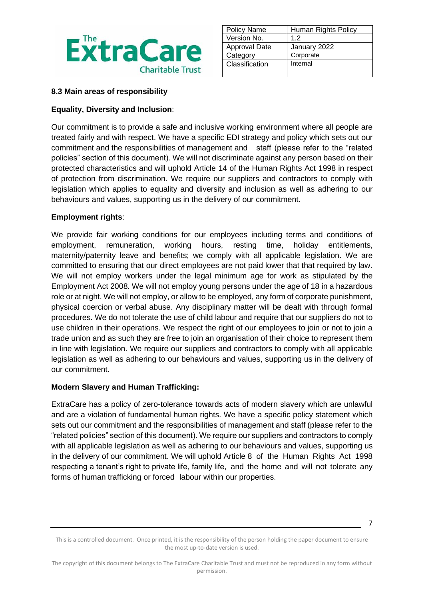

| <b>Policy Name</b>   | Human Rights Policy |
|----------------------|---------------------|
| Version No.          | 1.2                 |
| <b>Approval Date</b> | January 2022        |
| Category             | Corporate           |
| Classification       | Internal            |
|                      |                     |

#### **8.3 Main areas of responsibility**

#### **Equality, Diversity and Inclusion**:

Our commitment is to provide a safe and inclusive working environment where all people are treated fairly and with respect. We have a specific EDI strategy and policy which sets out our commitment and the responsibilities of management and staff (please refer to the "related policies" section of this document). We will not discriminate against any person based on their protected characteristics and will uphold Article 14 of the Human Rights Act 1998 in respect of protection from discrimination. We require our suppliers and contractors to comply with legislation which applies to equality and diversity and inclusion as well as adhering to our behaviours and values, supporting us in the delivery of our commitment.

#### **Employment rights**:

We provide fair working conditions for our employees including terms and conditions of employment, remuneration, working hours, resting time, holiday entitlements, maternity/paternity leave and benefits; we comply with all applicable legislation. We are committed to ensuring that our direct employees are not paid lower that that required by law. We will not employ workers under the legal minimum age for work as stipulated by the Employment Act 2008. We will not employ young persons under the age of 18 in a hazardous role or at night. We will not employ, or allow to be employed, any form of corporate punishment, physical coercion or verbal abuse. Any disciplinary matter will be dealt with through formal procedures. We do not tolerate the use of child labour and require that our suppliers do not to use children in their operations. We respect the right of our employees to join or not to join a trade union and as such they are free to join an organisation of their choice to represent them in line with legislation. We require our suppliers and contractors to comply with all applicable legislation as well as adhering to our behaviours and values, supporting us in the delivery of our commitment.

#### **Modern Slavery and Human Trafficking:**

ExtraCare has a policy of zero-tolerance towards acts of modern slavery which are unlawful and are a violation of fundamental human rights. We have a specific policy statement which sets out our commitment and the responsibilities of management and staff (please refer to the "related policies" section of this document). We require our suppliers and contractors to comply with all applicable legislation as well as adhering to our behaviours and values, supporting us in the delivery of our commitment. We will uphold Article 8 of the Human Rights Act 1998 respecting a tenant's right to private life, family life, and the home and will not tolerate any forms of human trafficking or forced labour within our properties.

This is a controlled document. Once printed, it is the responsibility of the person holding the paper document to ensure the most up-to-date version is used.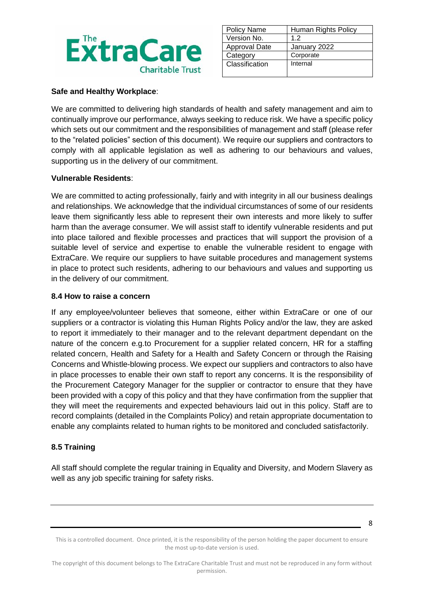

| <b>Policy Name</b> | Human Rights Policy |
|--------------------|---------------------|
| Version No.        | 1.2                 |
| Approval Date      | January 2022        |
| Category           | Corporate           |
| Classification     | Internal            |
|                    |                     |

#### **Safe and Healthy Workplace**:

We are committed to delivering high standards of health and safety management and aim to continually improve our performance, always seeking to reduce risk. We have a specific policy which sets out our commitment and the responsibilities of management and staff (please refer to the "related policies" section of this document). We require our suppliers and contractors to comply with all applicable legislation as well as adhering to our behaviours and values, supporting us in the delivery of our commitment.

#### **Vulnerable Residents**:

We are committed to acting professionally, fairly and with integrity in all our business dealings and relationships. We acknowledge that the individual circumstances of some of our residents leave them significantly less able to represent their own interests and more likely to suffer harm than the average consumer. We will assist staff to identify vulnerable residents and put into place tailored and flexible processes and practices that will support the provision of a suitable level of service and expertise to enable the vulnerable resident to engage with ExtraCare. We require our suppliers to have suitable procedures and management systems in place to protect such residents, adhering to our behaviours and values and supporting us in the delivery of our commitment.

#### **8.4 How to raise a concern**

If any employee/volunteer believes that someone, either within ExtraCare or one of our suppliers or a contractor is violating this Human Rights Policy and/or the law, they are asked to report it immediately to their manager and to the relevant department dependant on the nature of the concern e.g.to Procurement for a supplier related concern, HR for a staffing related concern, Health and Safety for a Health and Safety Concern or through the Raising Concerns and Whistle-blowing process. We expect our suppliers and contractors to also have in place processes to enable their own staff to report any concerns. It is the responsibility of the Procurement Category Manager for the supplier or contractor to ensure that they have been provided with a copy of this policy and that they have confirmation from the supplier that they will meet the requirements and expected behaviours laid out in this policy. Staff are to record complaints (detailed in the Complaints Policy) and retain appropriate documentation to enable any complaints related to human rights to be monitored and concluded satisfactorily.

### **8.5 Training**

All staff should complete the regular training in Equality and Diversity, and Modern Slavery as well as any job specific training for safety risks.

This is a controlled document. Once printed, it is the responsibility of the person holding the paper document to ensure the most up-to-date version is used.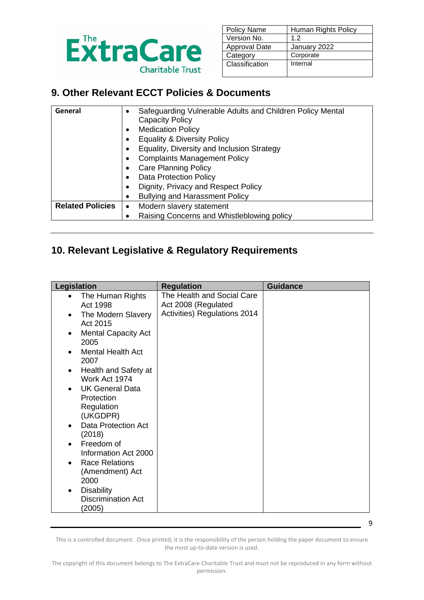

| <b>Policy Name</b> | Human Rights Policy |
|--------------------|---------------------|
| Version No.        | 1.2                 |
| Approval Date      | January 2022        |
| Category           | Corporate           |
| Classification     | Internal            |
|                    |                     |

## **9. Other Relevant ECCT Policies & Documents**

| General                 | Safeguarding Vulnerable Adults and Children Policy Mental |  |
|-------------------------|-----------------------------------------------------------|--|
|                         | <b>Capacity Policy</b>                                    |  |
|                         | <b>Medication Policy</b>                                  |  |
|                         | <b>Equality &amp; Diversity Policy</b>                    |  |
|                         | Equality, Diversity and Inclusion Strategy                |  |
|                         | <b>Complaints Management Policy</b>                       |  |
|                         | <b>Care Planning Policy</b>                               |  |
|                         | <b>Data Protection Policy</b>                             |  |
|                         | Dignity, Privacy and Respect Policy                       |  |
|                         | <b>Bullying and Harassment Policy</b>                     |  |
| <b>Related Policies</b> | Modern slavery statement<br>$\bullet$                     |  |
|                         | Raising Concerns and Whistleblowing policy                |  |
|                         |                                                           |  |

# **10. Relevant Legislative & Regulatory Requirements**

| The Health and Social Care<br>The Human Rights<br>Act 2008 (Regulated<br>Act 1998<br>Activities) Regulations 2014<br>The Modern Slavery<br>Act 2015<br><b>Mental Capacity Act</b><br>2005<br><b>Mental Health Act</b><br>2007<br>Health and Safety at<br>$\bullet$<br>Work Act 1974<br><b>UK General Data</b><br>Protection<br>Regulation<br>(UKGDPR)<br><b>Data Protection Act</b><br>(2018)<br>Freedom of<br>Information Act 2000<br><b>Race Relations</b><br>(Amendment) Act<br>2000<br><b>Disability</b><br><b>Discrimination Act</b><br>(2005) |
|-----------------------------------------------------------------------------------------------------------------------------------------------------------------------------------------------------------------------------------------------------------------------------------------------------------------------------------------------------------------------------------------------------------------------------------------------------------------------------------------------------------------------------------------------------|
|                                                                                                                                                                                                                                                                                                                                                                                                                                                                                                                                                     |

This is a controlled document. Once printed, it is the responsibility of the person holding the paper document to ensure the most up-to-date version is used.